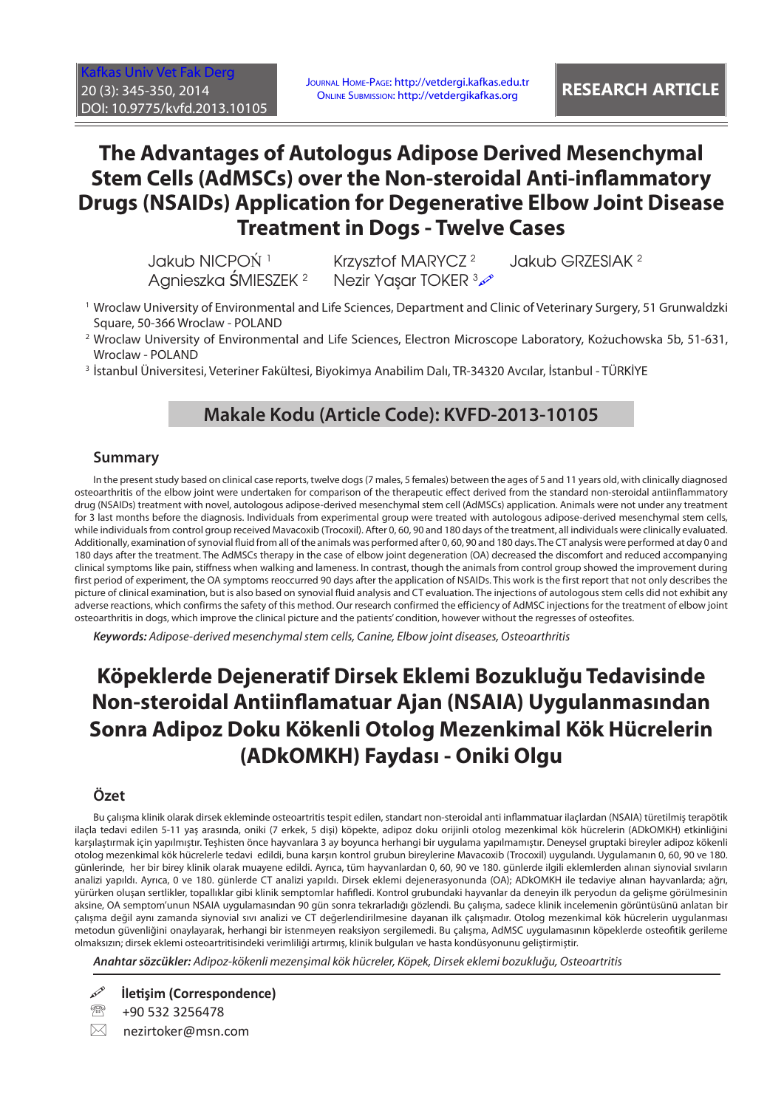[Kafkas Univ Vet Fak Derg](http://vetdergi.kafkas.edu.tr/) 20 (3): 345-350, 2014 DOI: 10.9775/kvfd.2013.10105

Journal Home-Page: http://vetdergi.kafkas.edu.tr Online Submission: http://vetdergikafkas.org **RESEARCH ARTICLE**

# **The Advantages of Autologus Adipose Derived Mesenchymal Stem Cells (AdMSCs) over the Non-steroidal Anti-inflammatory Drugs (NSAIDs) Application for Degenerative Elbow Joint Disease Treatment in Dogs - Twelve Cases**

Jakub NICPOŃ<sup>1</sup> Krzysztof MARYCZ<sup>2</sup> Agnieszka ŚMIESZEK <sup>2</sup>

Nezir Yasar TOKER 3

Jakub GRZESIAK <sup>2</sup>

- 1 Wroclaw University of Environmental and Life Sciences, Department and Clinic of Veterinary Surgery, 51 Grunwaldzki Square, 50-366 Wroclaw - POLAND
- 2 Wroclaw University of Environmental and Life Sciences, Electron Microscope Laboratory, Kożuchowska 5b, 51-631, Wroclaw - POLAND
- <sup>3</sup> İstanbul Üniversitesi, Veteriner Fakültesi, Biyokimya Anabilim Dalı, TR-34320 Avcılar, İstanbul TÜRKİYE

# **Makale Kodu (Article Code): KVFD-2013-10105**

### **Summary**

In the present study based on clinical case reports, twelve dogs (7 males, 5 females) between the ages of 5 and 11 years old, with clinically diagnosed osteoarthritis of the elbow joint were undertaken for comparison of the therapeutic effect derived from the standard non-steroidal antiinflammatory drug (NSAIDs) treatment with novel, autologous adipose-derived mesenchymal stem cell (AdMSCs) application. Animals were not under any treatment for 3 last months before the diagnosis. Individuals from experimental group were treated with autologous adipose-derived mesenchymal stem cells, while individuals from control group received Mavacoxib (Trocoxil). After 0, 60, 90 and 180 days of the treatment, all individuals were clinically evaluated. Additionally, examination of synovial fluid from all of the animals was performed after 0, 60, 90 and 180 days. The CT analysis were performed at day 0 and 180 days after the treatment. The AdMSCs therapy in the case of elbow joint degeneration (OA) decreased the discomfort and reduced accompanying clinical symptoms like pain, stiffness when walking and lameness. In contrast, though the animals from control group showed the improvement during first period of experiment, the OA symptoms reoccurred 90 days after the application of NSAIDs. This work is the first report that not only describes the picture of clinical examination, but is also based on synovial fluid analysis and CT evaluation. The injections of autologous stem cells did not exhibit any adverse reactions, which confirms the safety of this method. Our research confirmed the efficiency of AdMSC injections for the treatment of elbow joint osteoarthritis in dogs, which improve the clinical picture and the patients' condition, however without the regresses of osteofites.

*Keywords: Adipose-derived mesenchymal stem cells, Canine, Elbow joint diseases, Osteoarthritis*

# **Köpeklerde Dejeneratif Dirsek Eklemi Bozukluğu Tedavisinde Non-steroidal Antiinflamatuar Ajan (NSAIA) Uygulanmasından Sonra Adipoz Doku Kökenli Otolog Mezenkimal Kök Hücrelerin (ADkOMKH) Faydası - Oniki Olgu**

### **Özet**

Bu çalışma klinik olarak dirsek ekleminde osteoartritis tespit edilen, standart non-steroidal anti inflammatuar ilaçlardan (NSAIA) türetilmiş terapötik ilaçla tedavi edilen 5-11 yaş arasında, oniki (7 erkek, 5 dişi) köpekte, adipoz doku orijinli otolog mezenkimal kök hücrelerin (ADkOMKH) etkinliğini karşılaştırmak için yapılmıştır. Teşhisten önce hayvanlara 3 ay boyunca herhangi bir uygulama yapılmamıştır. Deneysel gruptaki bireyler adipoz kökenli otolog mezenkimal kök hücrelerle tedavi edildi, buna karşın kontrol grubun bireylerine Mavacoxib (Trocoxil) uygulandı. Uygulamanın 0, 60, 90 ve 180. günlerinde, her bir birey klinik olarak muayene edildi. Ayrıca, tüm hayvanlardan 0, 60, 90 ve 180. günlerde ilgili eklemlerden alınan siynovial sıvıların analizi yapıldı. Ayrıca, 0 ve 180. günlerde CT analizi yapıldı. Dirsek eklemi dejenerasyonunda (OA); ADkOMKH ile tedaviye alınan hayvanlarda; ağrı, yürürken oluşan sertlikler, topallıklar gibi klinik semptomlar hafifledi. Kontrol grubundaki hayvanlar da deneyin ilk peryodun da gelişme görülmesinin aksine, OA semptom'unun NSAIA uygulamasından 90 gün sonra tekrarladığı gözlendi. Bu çalışma, sadece klinik incelemenin görüntüsünü anlatan bir çalışma değil aynı zamanda siynovial sıvı analizi ve CT değerlendirilmesine dayanan ilk çalışmadır. Otolog mezenkimal kök hücrelerin uygulanması metodun güvenliğini onaylayarak, herhangi bir istenmeyen reaksiyon sergilemedi. Bu çalışma, AdMSC uygulamasının köpeklerde osteofitik gerileme olmaksızın; dirsek eklemi osteoartritisindeki verimliliği artırmış, klinik bulguları ve hasta kondüsyonunu geliştirmiştir.

*Anahtar sözcükler: Adipoz-kökenli mezenşimal kök hücreler, Köpek, Dirsek eklemi bozukluğu, Osteoartritis*

**İletişim (Correspondence)**

<sup>2</sup> +90 532 3256478

 $\boxtimes$  nezirtoker@msn.com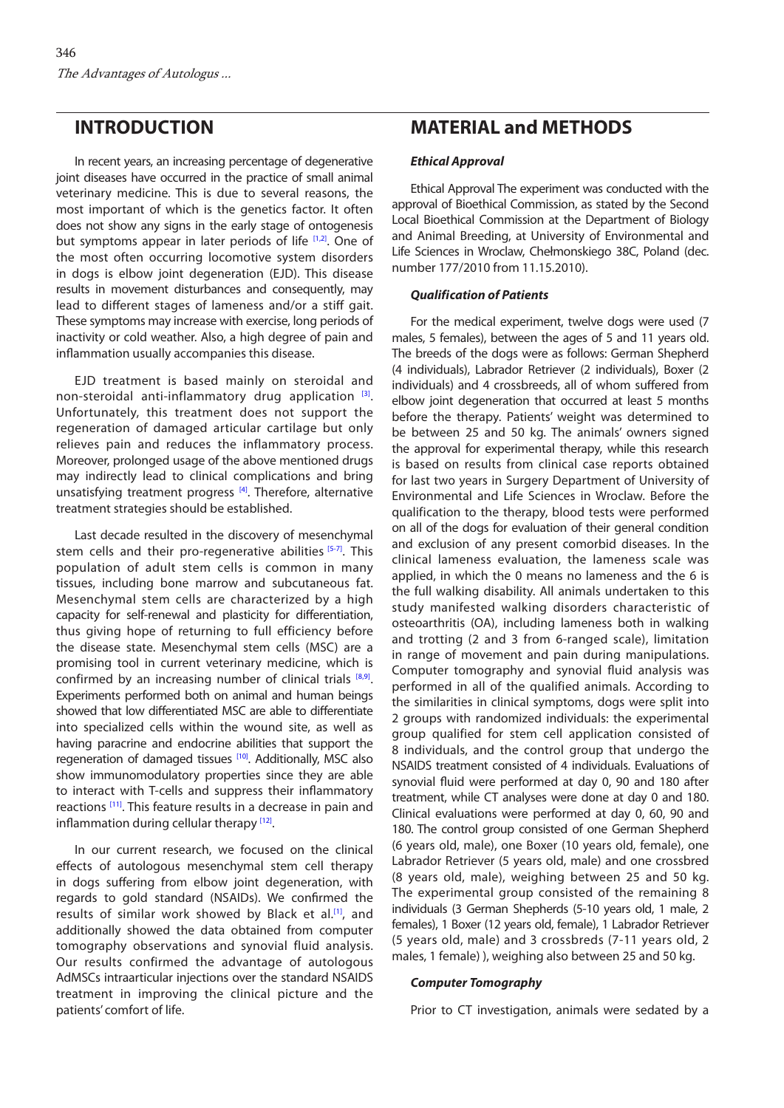# **INTRODUCTION**

In recent years, an increasing percentage of degenerative joint diseases have occurred in the practice of small animal veterinary medicine. This is due to several reasons, the most important of which is the genetics factor. It often does not show any signs in the early stage of ontogenesis but symptoms appear in later periods of life [[1,2\].](#page-4-0) One of the most often occurring locomotive system disorders in dogs is elbow joint degeneration (EJD). This disease results in movement disturbances and consequently, may lead to different stages of lameness and/or a stiff gait. These symptoms may increase with exercise, long periods of inactivity or cold weather. Also, a high degree of pain and inflammation usually accompanies this disease.

EJD treatment is based mainly on steroidal and non-steroidal anti-inflammatory drug application [\[3\].](#page-4-0) Unfortunately, this treatment does not support the regeneration of damaged articular cartilage but only relieves pain and reduces the inflammatory process. Moreover, prolonged usage of the above mentioned drugs may indirectly lead to clinical complications and bring unsatisfying treatment progress [\[4\].](#page-4-0) Therefore, alternative treatment strategies should be established.

Last decade resulted in the discovery of mesenchymal stem cells and their pro-regenerative abilities [\[5-7\].](#page-4-0) This population of adult stem cells is common in many tissues, including bone marrow and subcutaneous fat. Mesenchymal stem cells are characterized by a high capacity for self-renewal and plasticity for differentiation, thus giving hope of returning to full efficiency before the disease state. Mesenchymal stem cells (MSC) are a promising tool in current veterinary medicine, which is confirmed by an increasing number of clinical trials  $[8,9]$ . Experiments performed both on animal and human beings showed that low differentiated MSC are able to differentiate into specialized cells within the wound site, as well as having paracrine and endocrine abilities that support the regeneration of damaged tissues [\[10\].](#page-4-0) Additionally, MSC also show immunomodulatory properties since they are able to interact with T-cells and suppress their inflammatory reactions [\[11\].](#page-4-0) This feature results in a decrease in pain and inflammation during cellular therapy  $[12]$ .

In our current research, we focused on the clinical effects of autologous mesenchymal stem cell therapy in dogs suffering from elbow joint degeneration, with regards to gold standard (NSAIDs). We confirmed the results of similar work showed by Black et al.<sup>[1]</sup>, and additionally showed the data obtained from computer tomography observations and synovial fluid analysis. Our results confirmed the advantage of autologous AdMSCs intraarticular injections over the standard NSAIDS treatment in improving the clinical picture and the patients' comfort of life.

## **MATERIAL and METHODS**

#### *Ethical Approval*

Ethical Approval The experiment was conducted with the approval of Bioethical Commission, as stated by the Second Local Bioethical Commission at the Department of Biology and Animal Breeding, at University of Environmental and Life Sciences in Wroclaw, Chełmonskiego 38C, Poland (dec. number 177/2010 from 11.15.2010).

#### *Qualification of Patients*

For the medical experiment, twelve dogs were used (7 males, 5 females), between the ages of 5 and 11 years old. The breeds of the dogs were as follows: German Shepherd (4 individuals), Labrador Retriever (2 individuals), Boxer (2 individuals) and 4 crossbreeds, all of whom suffered from elbow joint degeneration that occurred at least 5 months before the therapy. Patients' weight was determined to be between 25 and 50 kg. The animals' owners signed the approval for experimental therapy, while this research is based on results from clinical case reports obtained for last two years in Surgery Department of University of Environmental and Life Sciences in Wroclaw. Before the qualification to the therapy, blood tests were performed on all of the dogs for evaluation of their general condition and exclusion of any present comorbid diseases. In the clinical lameness evaluation, the lameness scale was applied, in which the 0 means no lameness and the 6 is the full walking disability. All animals undertaken to this study manifested walking disorders characteristic of osteoarthritis (OA), including lameness both in walking and trotting (2 and 3 from 6-ranged scale), limitation in range of movement and pain during manipulations. Computer tomography and synovial fluid analysis was performed in all of the qualified animals. According to the similarities in clinical symptoms, dogs were split into 2 groups with randomized individuals: the experimental group qualified for stem cell application consisted of 8 individuals, and the control group that undergo the NSAIDS treatment consisted of 4 individuals. Evaluations of synovial fluid were performed at day 0, 90 and 180 after treatment, while CT analyses were done at day 0 and 180. Clinical evaluations were performed at day 0, 60, 90 and 180. The control group consisted of one German Shepherd (6 years old, male), one Boxer (10 years old, female), one Labrador Retriever (5 years old, male) and one crossbred (8 years old, male), weighing between 25 and 50 kg. The experimental group consisted of the remaining 8 individuals (3 German Shepherds (5-10 years old, 1 male, 2 females), 1 Boxer (12 years old, female), 1 Labrador Retriever (5 years old, male) and 3 crossbreds (7-11 years old, 2 males, 1 female) ), weighing also between 25 and 50 kg.

#### *Computer Tomography*

Prior to CT investigation, animals were sedated by a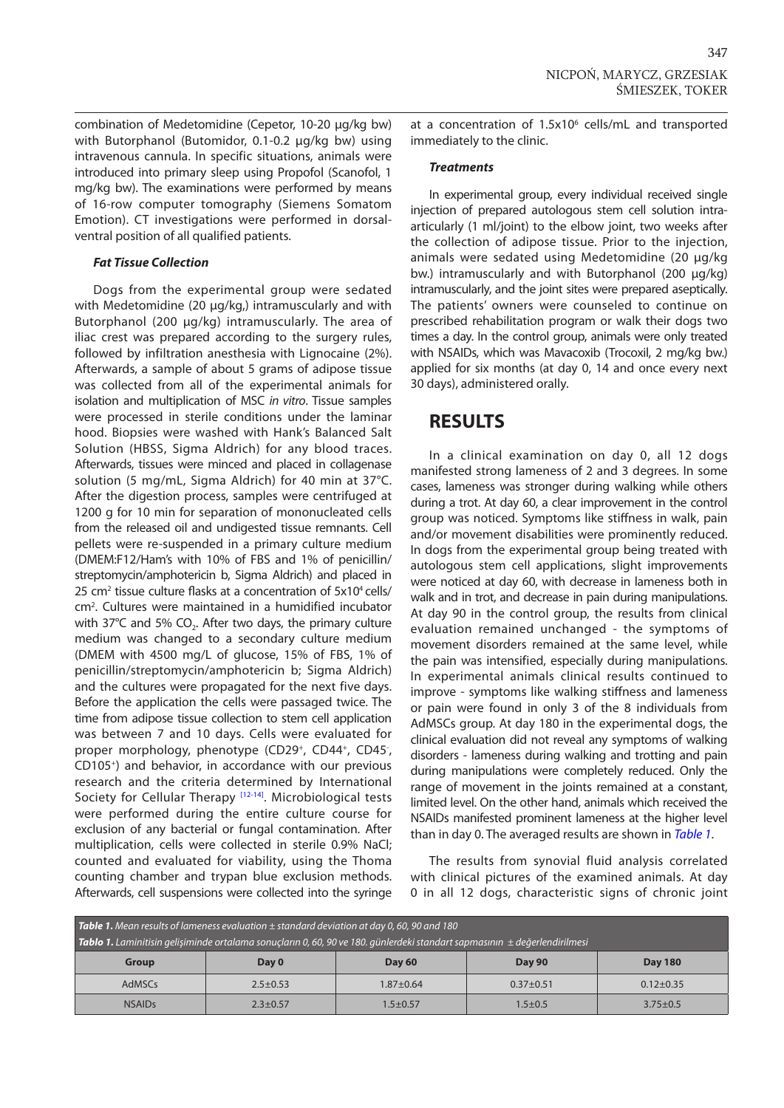combination of Medetomidine (Cepetor, 10-20 µg/kg bw) with Butorphanol (Butomidor, 0.1-0.2 µg/kg bw) using intravenous cannula. In specific situations, animals were introduced into primary sleep using Propofol (Scanofol, 1 mg/kg bw). The examinations were performed by means of 16-row computer tomography (Siemens Somatom Emotion). CT investigations were performed in dorsalventral position of all qualified patients.

### *Fat Tissue Collection*

Dogs from the experimental group were sedated with Medetomidine (20 µg/kg,) intramuscularly and with Butorphanol (200 µg/kg) intramuscularly. The area of iliac crest was prepared according to the surgery rules, followed by infiltration anesthesia with Lignocaine (2%). Afterwards, a sample of about 5 grams of adipose tissue was collected from all of the experimental animals for isolation and multiplication of MSC *in vitro*. Tissue samples were processed in sterile conditions under the laminar hood. Biopsies were washed with Hank's Balanced Salt Solution (HBSS, Sigma Aldrich) for any blood traces. Afterwards, tissues were minced and placed in collagenase solution (5 mg/mL, Sigma Aldrich) for 40 min at 37°C. After the digestion process, samples were centrifuged at 1200 g for 10 min for separation of mononucleated cells from the released oil and undigested tissue remnants. Cell pellets were re-suspended in a primary culture medium (DMEM:F12/Ham's with 10% of FBS and 1% of penicillin/ streptomycin/amphotericin b, Sigma Aldrich) and placed in 25 cm<sup>2</sup> tissue culture flasks at a concentration of 5x10<sup>4</sup> cells/ cm2 . Cultures were maintained in a humidified incubator with  $37^{\circ}$ C and  $5\%$  CO<sub>2</sub>. After two days, the primary culture medium was changed to a secondary culture medium (DMEM with 4500 mg/L of glucose, 15% of FBS, 1% of penicillin/streptomycin/amphotericin b; Sigma Aldrich) and the cultures were propagated for the next five days. Before the application the cells were passaged twice. The time from adipose tissue collection to stem cell application was between 7 and 10 days. Cells were evaluated for proper morphology, phenotype (CD29<sup>+</sup>, CD44<sup>+</sup>, CD45<sup>-</sup>, CD105+) and behavior, in accordance with our previous research and the criteria determined by International Society for Cellular Therapy <a>[12-14]</a>. Microbiological tests were performed during the entire culture course for exclusion of any bacterial or fungal contamination. After multiplication, cells were collected in sterile 0.9% NaCl; counted and evaluated for viability, using the Thoma counting chamber and trypan blue exclusion methods. Afterwards, cell suspensions were collected into the syringe

at a concentration of 1.5x10<sup>6</sup> cells/mL and transported immediately to the clinic.

### *Treatments*

In experimental group, every individual received single injection of prepared autologous stem cell solution intraarticularly (1 ml/joint) to the elbow joint, two weeks after the collection of adipose tissue. Prior to the injection, animals were sedated using Medetomidine (20 µg/kg bw.) intramuscularly and with Butorphanol (200 µg/kg) intramuscularly, and the joint sites were prepared aseptically. The patients' owners were counseled to continue on prescribed rehabilitation program or walk their dogs two times a day. In the control group, animals were only treated with NSAIDs, which was Mavacoxib (Trocoxil, 2 mg/kg bw.) applied for six months (at day 0, 14 and once every next 30 days), administered orally.

## **RESULTS**

In a clinical examination on day 0, all 12 dogs manifested strong lameness of 2 and 3 degrees. In some cases, lameness was stronger during walking while others during a trot. At day 60, a clear improvement in the control group was noticed. Symptoms like stiffness in walk, pain and/or movement disabilities were prominently reduced. In dogs from the experimental group being treated with autologous stem cell applications, slight improvements were noticed at day 60, with decrease in lameness both in walk and in trot, and decrease in pain during manipulations. At day 90 in the control group, the results from clinical evaluation remained unchanged - the symptoms of movement disorders remained at the same level, while the pain was intensified, especially during manipulations. In experimental animals clinical results continued to improve - symptoms like walking stiffness and lameness or pain were found in only 3 of the 8 individuals from AdMSCs group. At day 180 in the experimental dogs, the clinical evaluation did not reveal any symptoms of walking disorders - lameness during walking and trotting and pain during manipulations were completely reduced. Only the range of movement in the joints remained at a constant, limited level. On the other hand, animals which received the NSAIDs manifested prominent lameness at the higher level than in day 0. The averaged results are shown in *Table 1*.

The results from synovial fluid analysis correlated with clinical pictures of the examined animals. At day 0 in all 12 dogs, characteristic signs of chronic joint

| <b>Table 1.</b> Mean results of lameness evaluation $\pm$ standard deviation at day 0, 60, 90 and 180                              |              |                                |               |                 |  |  |  |  |  |
|------------------------------------------------------------------------------------------------------------------------------------|--------------|--------------------------------|---------------|-----------------|--|--|--|--|--|
| <b>Tablo 1.</b> Laminitisin gelişiminde ortalama sonuçların 0,60,90 ve 180. günlerdeki standart sapmasının $\pm$ değerlendirilmesi |              |                                |               |                 |  |  |  |  |  |
| Group                                                                                                                              | Day 0        | <b>Day 90</b><br><b>Day 60</b> |               | <b>Day 180</b>  |  |  |  |  |  |
| AdMSCs                                                                                                                             | $2.5 + 0.53$ | $1.87 + 0.64$                  | $0.37 + 0.51$ | $0.12 \pm 0.35$ |  |  |  |  |  |
| <b>NSAIDs</b>                                                                                                                      | $2.3 + 0.57$ | $1.5 \pm 0.57$                 |               | $3.75 \pm 0.5$  |  |  |  |  |  |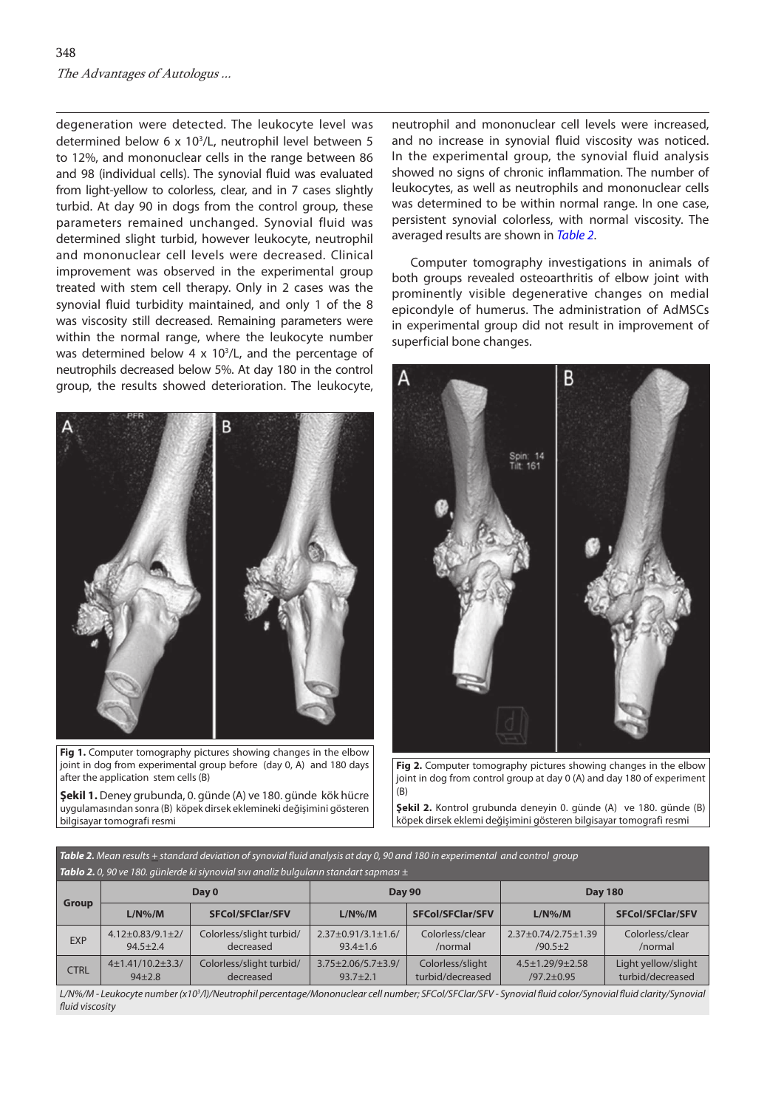degeneration were detected. The leukocyte level was determined below 6 x 103 /L, neutrophil level between 5 to 12%, and mononuclear cells in the range between 86 and 98 (individual cells). The synovial fluid was evaluated from light-yellow to colorless, clear, and in 7 cases slightly turbid. At day 90 in dogs from the control group, these parameters remained unchanged. Synovial fluid was determined slight turbid, however leukocyte, neutrophil and mononuclear cell levels were decreased. Clinical improvement was observed in the experimental group treated with stem cell therapy. Only in 2 cases was the synovial fluid turbidity maintained, and only 1 of the 8 was viscosity still decreased. Remaining parameters were within the normal range, where the leukocyte number was determined below  $4 \times 10^{3}/L$ , and the percentage of neutrophils decreased below 5%. At day 180 in the control group, the results showed deterioration. The leukocyte,



Fig 1. Computer tomography pictures showing changes in the elbow joint in dog from experimental group before (day 0, A) and 180 days after the application stem cells (B)

**Şekil 1.** Deney grubunda, 0. günde (A) ve 180. günde kök hücre uygulamasından sonra (B) köpek dirsek eklemineki değişimini gösteren bilgisayar tomografi resmi

neutrophil and mononuclear cell levels were increased, and no increase in synovial fluid viscosity was noticed. In the experimental group, the synovial fluid analysis showed no signs of chronic inflammation. The number of leukocytes, as well as neutrophils and mononuclear cells was determined to be within normal range. In one case, persistent synovial colorless, with normal viscosity. The averaged results are shown in *Table 2*.

Computer tomography investigations in animals of both groups revealed osteoarthritis of elbow joint with prominently visible degenerative changes on medial epicondyle of humerus. The administration of AdMSCs in experimental group did not result in improvement of superficial bone changes.



**Fig 2.** Computer tomography pictures showing changes in the elbow joint in dog from control group at day 0 (A) and day 180 of experiment (B)

**Şekil 2.** Kontrol grubunda deneyin 0. günde (A) ve 180. günde (B) köpek dirsek eklemi değişimini gösteren bilgisayar tomografi resmi

| Table 2. Mean results + standard deviation of synovial fluid analysis at day 0, 90 and 180 in experimental and control group |  |
|------------------------------------------------------------------------------------------------------------------------------|--|
| <b>Tablo 2.</b> 0, 90 ve 180. günlerde ki siynovial sıvı analiz bulguların standart sapması $\pm$                            |  |

| <b>TWO IS TOO.</b> Gamerac misigrovial sixt and its calgarami standard suprimes $\pm$ |                                            |                                       |                                                |                                      |                                             |                                         |  |  |  |  |
|---------------------------------------------------------------------------------------|--------------------------------------------|---------------------------------------|------------------------------------------------|--------------------------------------|---------------------------------------------|-----------------------------------------|--|--|--|--|
| Group                                                                                 | Day 0                                      |                                       | <b>Day 90</b>                                  |                                      | <b>Day 180</b>                              |                                         |  |  |  |  |
|                                                                                       | $L/N\%$ /M                                 | <b>SFCol/SFClar/SFV</b>               | $L/N\%$ /M                                     | <b>SFCol/SFClar/SFV</b>              | $L/N\%$ /M                                  | <b>SFCol/SFClar/SFV</b>                 |  |  |  |  |
| <b>EXP</b>                                                                            | $4.12 \pm 0.83/9.1 \pm 2/$<br>$94.5 + 2.4$ | Colorless/slight turbid/<br>decreased | $2.37 \pm 0.91/3.1 \pm 1.6/$<br>$93.4 \pm 1.6$ | Colorless/clear<br>/normal           | 2.37±0.74/2.75±1.39<br>$/90.5 + 2$          | Colorless/clear<br>/normal              |  |  |  |  |
| <b>CTRL</b>                                                                           | $4\pm1.41/10.2\pm3.3/$<br>$94 + 2.8$       | Colorless/slight turbid/<br>decreased | $3.75 \pm 2.06/5.7 \pm 3.9/$<br>$93.7 + 2.1$   | Colorless/slight<br>turbid/decreased | $4.5 \pm 1.29/9 \pm 2.58$<br>$/97.2 + 0.95$ | Light yellow/slight<br>turbid/decreased |  |  |  |  |

*L/N%/M - Leukocyte number (x103 /l)/Neutrophil percentage/Mononuclear cell number; SFCol/SFClar/SFV - Synovial fluid color/Synovial fluid clarity/Synovial fluid viscosity*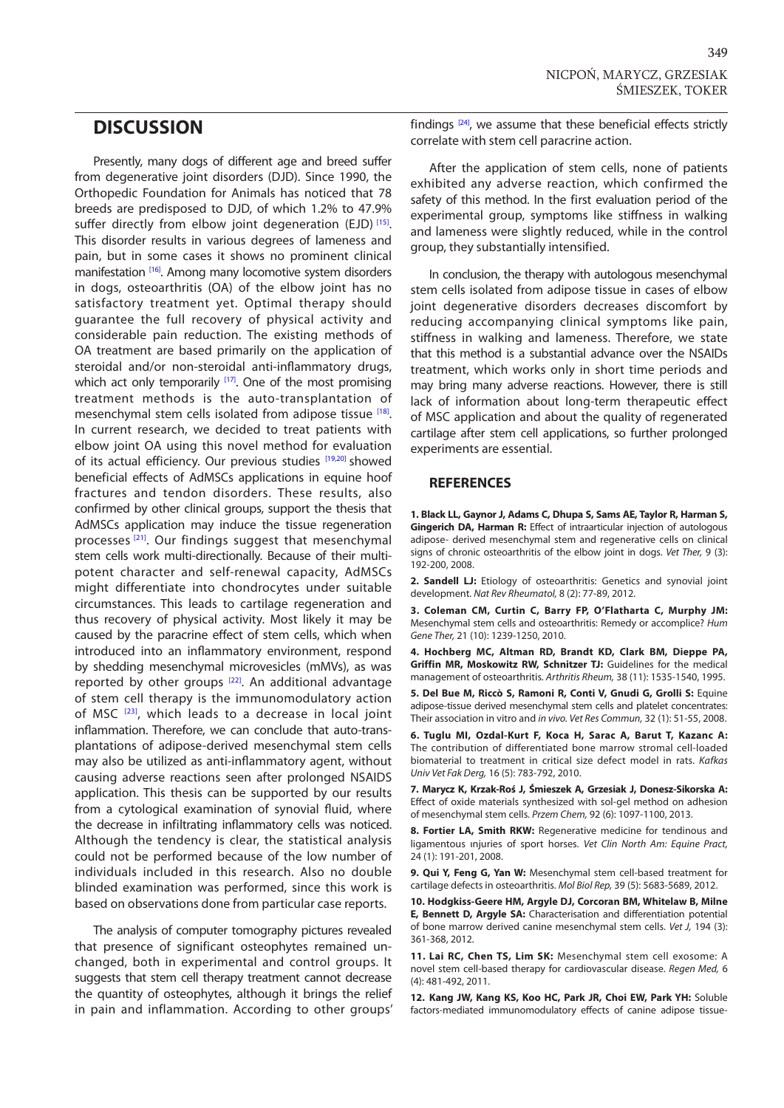# <span id="page-4-0"></span>**DISCUSSION**

Presently, many dogs of different age and breed suffer from degenerative joint disorders (DJD). Since 1990, the Orthopedic Foundation for Animals has noticed that 78 breeds are predisposed to DJD, of which 1.2% to 47.9% suffer directly from elbow joint degeneration (EJD)  $^{[15]}$ . This disorder results in various degrees of lameness and pain, but in some cases it shows no prominent clinical manifestation <a>[16]</a>. Among many locomotive system disorders in dogs, osteoarthritis (OA) of the elbow joint has no satisfactory treatment yet. Optimal therapy should guarantee the full recovery of physical activity and considerable pain reduction. The existing methods of OA treatment are based primarily on the application of steroidal and/or non-steroidal anti-inflammatory drugs, which act only temporarily  $[17]$ . One of the most promising treatment methods is the auto-transplantation of mesenchymal stem cells isolated from adipose tissue [[18\].](#page-5-0) In current research, we decided to treat patients with elbow joint OA using this novel method for evaluation of its actual efficiency. Our previous studies [[19,20\]](#page-5-0) showed beneficial effects of AdMSCs applications in equine hoof fractures and tendon disorders. These results, also confirmed by other clinical groups, support the thesis that AdMSCs application may induce the tissue regeneration processes<sup>[21]</sup>. Our findings suggest that mesenchymal stem cells work multi-directionally. Because of their multipotent character and self-renewal capacity, AdMSCs might differentiate into chondrocytes under suitable circumstances. This leads to cartilage regeneration and thus recovery of physical activity. Most likely it may be caused by the paracrine effect of stem cells, which when introduced into an inflammatory environment, respond by shedding mesenchymal microvesicles (mMVs), as was reported by other groups [[22\].](#page-5-0) An additional advantage of stem cell therapy is the immunomodulatory action of MSC [\[23\],](#page-5-0) which leads to a decrease in local joint inflammation. Therefore, we can conclude that auto-transplantations of adipose-derived mesenchymal stem cells may also be utilized as anti-inflammatory agent, without causing adverse reactions seen after prolonged NSAIDS application. This thesis can be supported by our results from a cytological examination of synovial fluid, where the decrease in infiltrating inflammatory cells was noticed. Although the tendency is clear, the statistical analysis could not be performed because of the low number of individuals included in this research. Also no double blinded examination was performed, since this work is based on observations done from particular case reports.

The analysis of computer tomography pictures revealed that presence of significant osteophytes remained unchanged, both in experimental and control groups. It suggests that stem cell therapy treatment cannot decrease the quantity of osteophytes, although it brings the relief in pain and inflammation. According to other groups'

findings  $[24]$ , we assume that these beneficial effects strictly correlate with stem cell paracrine action.

After the application of stem cells, none of patients exhibited any adverse reaction, which confirmed the safety of this method. In the first evaluation period of the experimental group, symptoms like stiffness in walking and lameness were slightly reduced, while in the control group, they substantially intensified.

In conclusion, the therapy with autologous mesenchymal stem cells isolated from adipose tissue in cases of elbow joint degenerative disorders decreases discomfort by reducing accompanying clinical symptoms like pain, stiffness in walking and lameness. Therefore, we state that this method is a substantial advance over the NSAIDs treatment, which works only in short time periods and may bring many adverse reactions. However, there is still lack of information about long-term therapeutic effect of MSC application and about the quality of regenerated cartilage after stem cell applications, so further prolonged experiments are essential.

### **REFERENCES**

**1. Black LL, Gaynor J, Adams C, Dhupa S, Sams AE, Taylor R, Harman S, Gingerich DA, Harman R:** Effect of intraarticular injection of autologous adipose- derived mesenchymal stem and regenerative cells on clinical signs of chronic osteoarthritis of the elbow joint in dogs. *Vet Ther,* 9 (3): 192-200, 2008.

**2. Sandell LJ:** Etiology of osteoarthritis: Genetics and synovial joint development. *Nat Rev Rheumatol,* 8 (2): 77-89, 2012.

**3. Coleman CM, Curtin C, Barry FP, O'Flatharta C, Murphy JM:** Mesenchymal stem cells and osteoarthritis: Remedy or accomplice? *Hum Gene Ther,* 21 (10): 1239-1250, 2010.

**4. Hochberg MC, Altman RD, Brandt KD, Clark BM, Dieppe PA, Griffin MR, Moskowitz RW, Schnitzer TJ:** Guidelines for the medical management of osteoarthritis. *Arthritis Rheum,* 38 (11): 1535-1540, 1995.

**5. Del Bue M, Riccò S, Ramoni R, Conti V, Gnudi G, Grolli S:** Equine adipose-tissue derived mesenchymal stem cells and platelet concentrates: Their association in vitro and *in vivo. Vet Res Commun,* 32 (1): 51-55, 2008.

**6. Tuglu MI, Ozdal-Kurt F, Koca H, Sarac A, Barut T, Kazanc A:**  The contribution of differentiated bone marrow stromal cell-loaded biomaterial to treatment in critical size defect model in rats. *Kafkas Univ Vet Fak Derg,* 16 (5): 783-792, 2010.

**7. Marycz K, Krzak-Roś J, Śmieszek A, Grzesiak J, Donesz-Sikorska A:**  Effect of oxide materials synthesized with sol-gel method on adhesion of mesenchymal stem cells. *Przem Chem,* 92 (6): 1097-1100, 2013.

**8. Fortier LA, Smith RKW:** Regenerative medicine for tendinous and ligamentous ınjuries of sport horses. *Vet Clin North Am: Equine Pract,* 24 (1): 191-201, 2008.

**9. Qui Y, Feng G, Yan W:** Mesenchymal stem cell-based treatment for cartilage defects in osteoarthritis. *Mol Biol Rep,* 39 (5): 5683-5689, 2012.

**10. Hodgkiss-Geere HM, Argyle DJ, Corcoran BM, Whitelaw B, Milne E, Bennett D, Argyle SA:** Characterisation and differentiation potential of bone marrow derived canine mesenchymal stem cells. *Vet J,* 194 (3): 361-368, 2012*.*

**11. Lai RC, Chen TS, Lim SK:** Mesenchymal stem cell exosome: A novel stem cell-based therapy for cardiovascular disease. *Regen Med,* 6 (4): 481-492, 2011.

**12. Kang JW, Kang KS, Koo HC, Park JR, Choi EW, Park YH:** Soluble factors-mediated immunomodulatory effects of canine adipose tissue